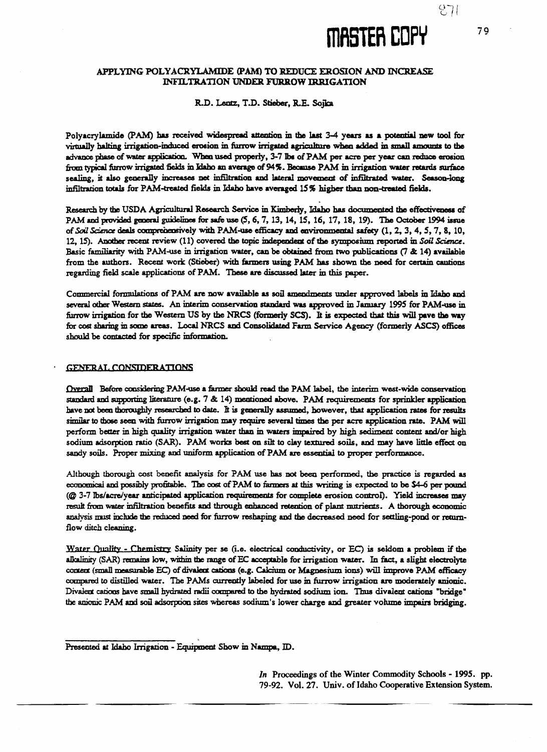# **inaster COPY** 79

### **APPLYING POLYACRYLAM1DE (PAM) TO REDUCE EROSION AND INCREASE INFILTRATION 'UNDER FURROW IRRIGATION**

#### R.D. Lentz, T.D. Stieber, R.E. Soika

Polyacrylamide (PAM) has received widespread attention in the last 3-4 years as a potential new tool for virtually halting irrigation-induced erosion in furrow irrigated agriculture when added in small amounts to the advance phase of water application. When used properly, 3-7 lbs of PAM per acre per year can reduce erosion from typical furrow irrigated fields in Idaho an average of 94%. Because PAM in irrigation water retards surface sealing, it also generally increases net infiltration and lateral movement of infiltrated water. Season-long infiltration totals for PAM-treated fields in Idaho have averaged 15% higher than non-treated fields.

Research by the USDA Agricultural Research Service in Kimberly, Idaho has documented the effectiveness of PAM and provided general guidelines for safe use (5, 6, 7, 13, 14, 15, 16, 17, 18, 19). The October 1994 issue of *Soil Science* deals compreheosively with PAM-use efficacy and environmental safety (1, 2, 3, 4, 5, 7, 8, 10, 12, 15). Another recent review (11) covered the topic independent of the symposium reported in *Soil Science.* Basic familiarity with PAM-use in irrigation water, can be obtained from two publications (7 & 14) available from the authors. Recent work (Stieber) with farmers using PAM has shown the need for certain cautions regarding field scale applications of PAM. These are discussed later in this paper.

Commercial formulations of PAM are now available as soil amendments under approved labels in Idaho and several other Western states. An interim conservation standard was approved in January 1995 for PAM-use in furrow irrigation for the Western US by the NRCS (formerly SCS). **It** is expected that this will pave the way for cost sharing in some areas. Local NRCS and Consolidated Farm Service Agency (formerly ASCS) offices should be contacted for specific information.

#### **GENERAL CONSIDERATIONS**

**Dxerall** Before considering PAM-use a fanner should read the PAM label, the interim west-wide conservation standard and supporting literature (e.g. 7 & 14) mentioned above. PAM requirements for sprinkler application have not been thoroughly researched to date. It is generally assumed, however, that application rates for results similar to those seen with furrow irrigation may require several times the per acre application rate. PAM will perform better in high quality irrigation water than in waters impaired by high sediment content and/or high sodium adsorption ratio (SAR). PAM works best on silt to clay textured soils, and may have little effect on sandy soils. Proper mixing and uniform application of PAM are essential to proper performance.

Although thorough cost benefit analysis for PAM use has not been performed, the practice *is* regarded as economical and possibly profitable. The cost of PAM to farmers at this writing *is* expected to be 34-6 per pound (0 3-7 lbs/acre/year anticipated application requirements for complete erosion control). Yield increases may result from water infiltration benefits and through enhanced retention of plant nutrients. A thorough economic analysis must include the reduced need for furrow reshaping and the decreased need for settling-pond or returnflow ditch cleaning.

Water Quality - Chemistry Salinity per se (i.e. electrical conductivity, or EC) is seldom a problem if the alkalinity (SAR) remains low, within the range of EC acceptable for irrigation water. In fact, a slight electrolyte content (small measurable EC) of divalent cations (e.g. Calcium or Magnesium ions) will improve PAM efficacy compared to distilled water. The PAMs currently labeled for *use in* furrow irrigation are moderately anionic. Divalent canons have small hydrated radii compared to the hydrated sodium ion. Thus divalent cations 'bridge" the anionic PAM and soil adsorption sites whereas sodium's lower charge and greater volume impairs bridging.

*In* Proceedings of the Winter Commodity Schools - 1995. pp. 79-92. Vol. 27. Univ. of Idaho Cooperative Extension System.

Presented at Idaho Irrigation - Equipment Show in Nampa, ID.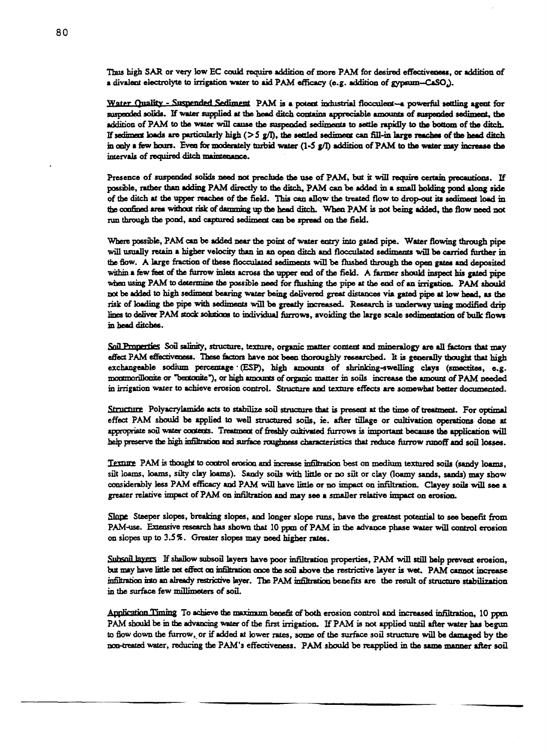Thus high SAR or very low EC could require addition of more PAM for desired effectiveness, or addition of a divalent electrolyte to irrigation water to aid PAM efficacy (e.g. addition of gypsum-CaSO).

Water Ouality - Suspended Sediment PAM is a potent industrial flocculent—a powerful settling agent for suspended solids. If water supplied at the head ditch contains appreciable amounts of suspended sediment, the addition of PAM to the water will cause the suspended sediments to settle rapidly to the bottom of the ditch. If sediment loads are particularly high  $(55 g/l)$ , the settled sediment can fill-in large reaches of the head ditch in only a few hours. Even for moderately turbid water (1-5 g/l) addition of PAM to the water may increase the intervals of required ditch maintenance.

Presence of suspended solids need not preclude the use of PAM, but it will require certain precautions. If possible, rather than adding PAM directly to the ditch, PAM can *be* added in a small holding pond along side of the ditch at the upper reaches of the field. This can allow the treated flow to dropout its sediment load in the confined area without risk of damming up the head ditch. When PAM is not being added, the flow need not tun through the pond, and captured sediment can be spread on the field.

Where possible, PAM can be added near the point of water entry into gated pipe. Water flowing through pipe will usually retain a higher velocity than in an open ditch **and** flocculated sediments will be carried further in the flow. A large fraction of these flocculated sediments will be flushed through the open gates and deposited within a few feet of the furrow inlets across the upper end of the field. A farmer should inspect his gated pipe when using PAM to determine the possible need for flushing the pipe at the end of an irrigation. PAM should not be added to high sediment bearing water being delivered great distances via gated pipe at low head, as the risk of loading the pipe with sediments will be greatly increased. Research is underway using modified drip lines to deliver PAM stock solutions to individual furrows, avoiding the large scale sedimentation of bulk flows in head ditches.

Soil Properties Soil salinity, structure, texture, organic matter content and mineralogy are all factors that may effect PAM effectiveness. These factors have not been thoroughly researched. It *is* generally thought that high exchangeable sodium percentage (ESP), high amounts of shrinking-swelling clays (smectites, e.g. montmorillonite or "bentonite"), or high amounts of organic matter in soils increase the amount of PAM needed in irrigation water to achieve erosion control. Structure and texture effects are somewhat better documented.

**Strarture** Polyacrylamide acts to stabilize soil structure that is present at the time of treatment. For optimal effect PAM should be applied to well structured soils, ie. after tillage or cultivation operations done at appropriate soil water contents. Treatment of freshly cultivated furrows is important because the application will help preserve the high infiltration and surface **roughness characteristics that reduce furrow runoff and soil losses.**

Texture PAM is thought to control erosion and increase infiltration best on medium textured soils (sandy loams, silt louts, foams, silty clay loans). Sandy soils with little or no silt or clay (loamy sands, sands) may show considerably less PAM efficacy and PAM will have little or no impact on infiltration. Clayey soils will **see** a greater relative impact of PAM on infiltration and may see a smaller relative impact on erosion.

Slope Steeper slopes, breaking slopes, and longer slope runs, have the greatest potential to see benefit from PAM-use. Extensive research has shown that 10 ppm of PAM in the advance phase water will control erosion on slopes up to 3.5%. Greater slopes may need higher rates.

Subsoil layers If shallow subsoil layers have poor infiltration properties, PAM will still help prevent erosion, but may have little net effect on infiltration once the soil above the restrictive layer *is* wet. PAM cannot increase infiltration into an already restrictive layer. The PAM infiltration benefits are the result of structure stabilization in the surface few millimeters of soil.

Application. Timing To achieve the maximum benefit of both erosion control and increased infiltration, 10 ppm PAM should be in the advancing water of the first irrigation. If PAM is not applied until after water has begun to flow down the furrow, or if added at lower rates, some of the surface soil structure will be damaged by the non-treated water, reducing the PAM's effectiveness. PAM should be reapplied in the same manner after soil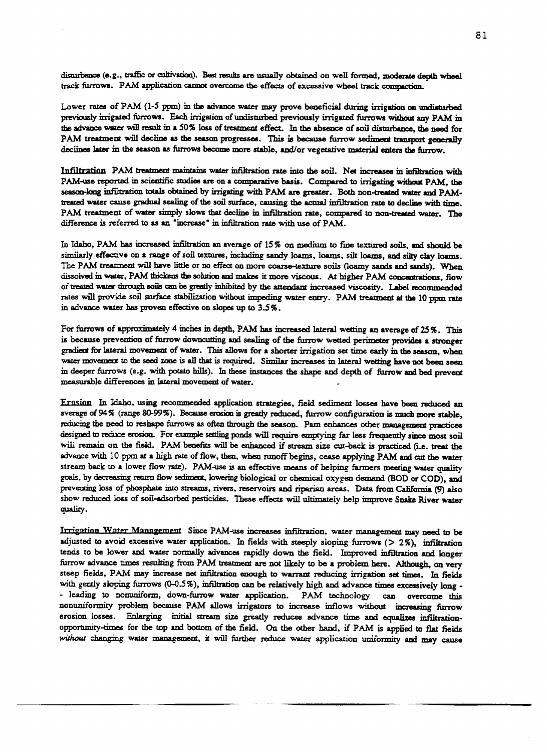disturbance (e.g., traffic or cultivation). Best results are usually obtained on well formed, moderate depth wheel track furrows. PAM application cannot overcome the effects of excessive wheel track compaction.

Lower rates of PAM (1-5 ppm) in the advance water may prove beneficial during irrigation on undisturbed previously irrigated furrows. Each irrigation of undisturbed previously irrigated furrows without any PAM in the advance water will result in a 50% loss of treatment effect. In the absence of soil disturbance, the need for PAM treatment will decline as the season progresses. This is because furrow sediment transport generally declines later in the season as furrows become more stable, and/or vegetative material enters the furrow.

Infiltration PAM treatment maintains water infiltration rate into the *soil. Net* increases in infiltration with PAM-use reported in scientific studies are on a comparative basis. Compared to irrigating without PAM, the season-long infiltration totals obtained by irrigating with PAM are greater. Both non-treated water and PAMtreated water cause gradual sealing of the soil surface, causing the actual infiltration rate to decline with time. PAM treatment of water simply slows that decline in infiltration rate, compared to non-treated water. The difference *is* referred to as an "increase' in infiltration rate with use of PAM.

In Idaho, PAM has increased infiltration an average of 15% on medium to fine textured soils, and should be similarly effective on a range of soil textures, including sandy loans, loans, silt loans, and silty clay loans. The PAM treatment will have little or no effect on more coarse-texture soils (loamy sands and sands). When dissolved in water, PAM thickens the solution and makes it more *viscous.* At higher PAM concentrations, flow of treated water through soils can be greatly inhibited by the attendant increased *viscosity.* Label recommended rates will provide soil surface stabilization without impeding water entry. PAM treatment at the 10 ppm rate in advance water has proven effective on slopes up to 3.5%.

For furrows of approximately 4 inches **in** depth, PAM has increased lateral wetting an average of 25%. This is because prevention of furrow downcutting and sealing of the furrow wetted perimeter provides a stronger gradient for lateral movement of water. This allows for a shorter irrigation set time early in the season, when water movement to the seed zone is all that is required. Similar increases in lateral wetting have not been seen in deeper furrows (e.g. with potato hills). In these instances the shape and depth of furrow and bed prevent measurable differences in lateral movement of water.

Ernsion In Idaho, using recommended application strategies, field sediment losses have been reduced an average of 94% (range 80-99%). Because erosion is greatly reduced, furrow configuration is much more stable, reducing the need to reshape furrows as often through the season. Pam enhances other management practices designed to reduce erosion. For example settling ponds will require emptying far less frequently since most soil will remain on the field. PAM benefits will be enhanced if stream size cut-back is practiced (i.e. treat the advance with 10 ppm at a high rate of flow, then, when runoff begins, cease applying PAM and *cut* the water stream back to a lower flow rate). PAM-use is an effective means of helping farmers meeting water quality goals, by *decreasing* rearm flow sediment, lowering biological or chemical oxygen demand (SOD or COD), and preventing loss of phosphate into streams, rivers, reservoirs and riparian areas. Data from California (9) also show reduced loss of soil-adsorbed pesticides. These effects will ultimately help improve Snake River water quality.

**Irrigation** Water **Management Since PAM-use increases** infiltration, water management may need to be adjusted to avoid excessive water application. In fields with steeply sloping furrows (> 2%), infiltration tends to be lower and water normally advances rapidly down the field. Improved infiltration and longer furrow advance times resulting from PAM treatment are not likely to be a problem here. Although, on very steep fields, PAM may increase net infiltration enough to warrant reducing irrigation set times. In fields with gently sloping furrows (0-0.5%), infiltration can be relatively high and advance times excessively long -- leading to nonuniform, down-furrow water application. PAM technology can overcome this nonuniformity problem because PAM allows irrigators to increase inflows without increasing furrow erosion losses. Enlarging initial stream size greatly reduces advance time and equalizes infiltrationopportunity-times for the top and bottom of the field. On the other hand, if PAM is applied to flat fields *without* changing water management, it will further reduce water application uniformity and may cause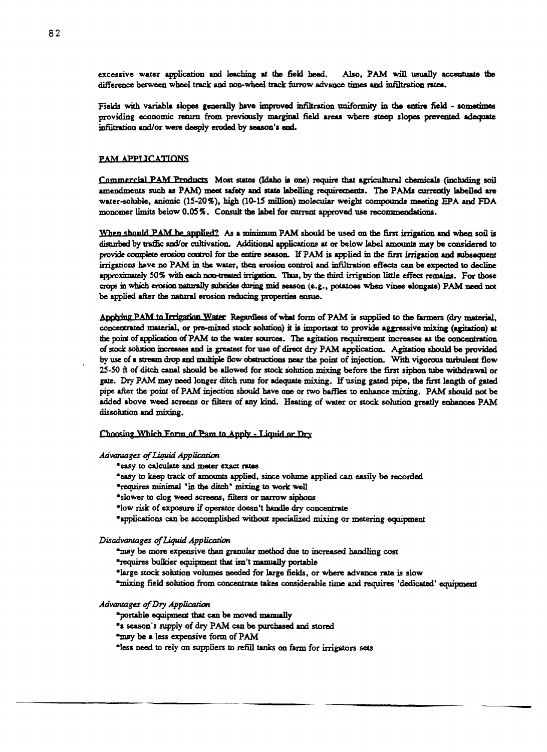excessive water application and leaching at the field head. Also, PAM will usually accentuate the difference between wheel track and non-wheel track furrow advance times and infiltration rates.

Fields with variable slopes generally have improved infiltration uniformity in the entire field - sometimes providing economic return from previously marginal field areas where steep slopes prevented adequate infiltration and/or were deeply eroded by season's end.

#### PAM APPLICATIONS

Commercial PAM Products Most states (Idaho is one) require that agricultural chemicals (including soil amendments such as PAM) **meet** safety and state labelling requirements. The PAMs currently labelled are water-soluble, anionic (15-20%), high (10-15 million) molecular weight compounds meeting EPA and FDA monomer limits below 0.05%. Consult the label for current approved use recommendations.

When should PAM he applied? As a minimum PAM should be used on the first irrigation and when soil is disturbed by traffic and/or cultivation. Additional applications at or below label amounts may be considered to provide complete erosion control for the entire **season.** If PAM is applied in the first irrigation and subsequent irrigations have no PAM in the water, then erosion control and infiltration effects can be expected to decline approximately 50% with each non-treated irrigation. Thus, by the third irrigation little effect remains. For those crops in which erosion naturally subsides during mid season (e.g., potatoes when vines elongate) PAM **need** not be applied after the natural erosion reducing properties ensue.

Applying PAM to **Trriptinn Water** Regardless of what form of PAM is supplied to the farmers (dry material, concentrated material, or pm-mixed stock solution) it is important to provide aggressive mixing (agitation) at the point of application of PAM to the water sources. The agitation requirement increases as the concentration of stock solution increases and is greatest for use of direct dry PAM application. Agitation should be provided by use of a stream drop and multiple flow obstructions near the point of injection. With vigorous turbulent flow 25-50 ft of ditch canal should be allowed for stock solution mixing before the first siphon tube withdrawal or gate. Dry PAM may need longer ditch runs for adequate mixing. If using gated pipe, the first length of gated pipe after the point of PAM injection should have one or two baffles to enhance mixing. PAM should not be added above weed screens or filters of any kind. Heating of water or stock solution greatly enhances PAM dissolution and mixing.

Choosing Which Form of Pam to Apply - Liquid or Dry

*Advantages of Liquid Application*

*'easy to calculate and meter exact rates*

\*easy to *keep* track of amounts applied, since volume applied can easily be recorded

\*requires minimal "in the ditch' mixing to work well

\*slower to clog weed screens, filters or narrow siphons

\*low *risk* of exposure if operator doesn't handle dry concentrate

\*applications can be accomplished without specialized mixing or metering equipment

*Disadvatuages of Liquid Application*

*"may* be more expensive than granular method due to increased handling cost

\*requires bulkier equipment that isn't manually portable

\*large stock solution volumes needed for large fields, or where advance rate is slow

\*mixing field solution from concentrate takes considerable time and requires 'dedicated' equipment

#### *Advantages of Dry Application*

\*portable equipment that can be moved manually

\*a season's supply of dry PAM can be purchased and stored

\*may be a less expensive form of PAM

\*less need to rely on suppliers to refill tanks on farm for irrigators sets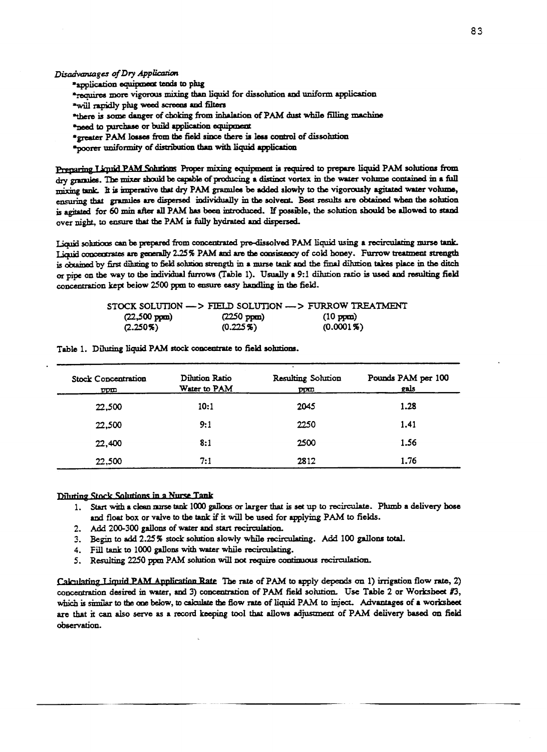*Disadvantages of Dry Application*

**'application equipment tends to plug**

**\*requires more vigorous mixing than liquid for dissolution and** uniform application

\*will rapidly plug weed screens and filters

\*there is some danger of choking from inhalation of PAM dust while filling machine

\*need to purchase or build application equipment

\*greater PAM losses from the field since there is less control of dissolution

\*poorer uniformity of distribution than with liquid application

Preparing Liquid PAM Solutions Proper mixing equipment is required to prepare liquid PAM solutions from dry granules. The mixer shaild be capable of producing a distinct vortex in the water volume contained in a full mixing tank. It is imperative that dry PAM granules be added slowly to the vigorously agitated water volume, ensuring that granules are dispersed individually in the solvent. Best results are obtained when the solution is agitated for 60 min after all PAM *has* been introduced. If possible, the solution should be allowed to stand over night, to ensure that the PAM *is* fully hydrated and dispersed.

Liquid solutions can be prepared from concentrated pre-dissolved PAM liquid using a recirculating nurse tank. Liquid conceptrates are generally 2.25% PAM and are the consistency of cold honey. Furrow treatment strength is obtained by *first* diluting to field solution strength in a nurse tank and the final dilution takes place in the ditch or pipe on the way to the individual furrows (Table 1). Usually a 9:1 dilution ratio is used and resulting field concentration kept below 2500 ppm to ensure easy handling in the field.

|                        |                      | STOCK SOLUTION —> FIELD SOLUTION —> FURROW TREATMENT |
|------------------------|----------------------|------------------------------------------------------|
| $(22,500 \text{ ppm})$ | $(2250 \text{ ppm})$ | $(10 \text{ ppm})$                                   |
| $(2.250\%)$            | $(0.225\%)$          | $(0.0001\%)$                                         |

| <b>Stock Concentration</b><br>ppm | Dilution Ratio<br>Water to PAM | Resulting Solution<br>ppm | Pounds PAM per 100<br>gals |
|-----------------------------------|--------------------------------|---------------------------|----------------------------|
| 22,500                            | 10:1                           | 2045                      | 1.28                       |
| 22,500                            | 9:1                            | 2250                      | 1.41                       |
| 22,400                            | 8:1                            | 2500                      | 1.56                       |
| 22,500                            | 7:1                            | 2812                      | 1.76                       |

Table 1. Diluting liquid PAM stock concentrate to field solutions.

## **Diluting Stock Solutions in a Nurse Tank**

- 1. Start with a clean nurse *tank* 1000 gallons or larger that is set up to recirculate. Plumb a delivery hose and float box or valve to the tank if it will be used for applying PAM to fields.
- 2. Add 200-300 gallons of water and start recirculation.
- 3. Begin to add 2.25% stock solution slowly while recirculating. Add 100 gallons total.
- 4. Fill tank to 1000 gallons with water while recirculating.
- 5. Resulting 2250 ppm PAM solution will not require continuous recirculation.

**ralrolstingT ifptirl PAM Applientinn T/nti**. The rate of PAM to apply depends on 1) irrigation flow rate, 2) concentration desired in water, and 3) concentration of PAM field solution. Use Table 2 or Worksheet #3, which is similar to the one below, to calculate the flow rate of liquid PAM to inject. Advantages of a worksheet are that it can also serve as a record keeping tool that allows adjustment of PAM delivery based on field observation.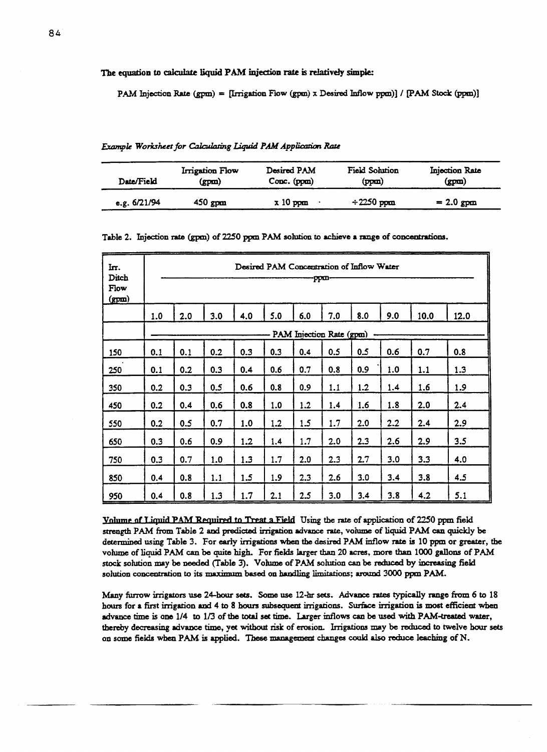The equation to calculate liquid PAM injection rate is relatively simple:

PAM Injection Rate (gpm) = [Irrigation Flow (gpm) x Desired Inflow ppm)] / [PAM Stock (ppm)]

|  |  |  | Example Worksheet for Calculating Liquid PAM Application Rate |  |  |  |  |
|--|--|--|---------------------------------------------------------------|--|--|--|--|
|--|--|--|---------------------------------------------------------------|--|--|--|--|

| Date/Field     | Irrigation Flow | Desired PAM | Field Solution  | Injection Rate |
|----------------|-----------------|-------------|-----------------|----------------|
|                | (gpm)           | Conc. (ppm) | (ppm)           | (gpm)          |
| e.g. $6/21/94$ | $450$ gpm       | $x10$ ppm   | $\div 2250$ ppm | $= 2.0$ gpm    |

Table 2. Injection rate (gpm) of 2250 ppm PAM solution *to* achieve a range of concentrations.

| Iπ.<br>Ditch<br>Flow<br>(gpm) |     | Desired PAM Concentration of Inflow Water<br>-ppm |     |     |     |     |                          |     |     |      |      |
|-------------------------------|-----|---------------------------------------------------|-----|-----|-----|-----|--------------------------|-----|-----|------|------|
|                               | 1.0 | 2.0                                               | 3.0 | 4.0 | 5.0 | 6.0 | 7.0                      | 8.0 | 9.0 | 10.0 | 12.0 |
|                               |     |                                                   |     |     |     |     | PAM Injection Rate (gpm) |     |     |      |      |
| 150                           | 0.1 | 0.1                                               | 0.2 | 0.3 | 0.3 | 0.4 | 0.5                      | 0.5 | 0.6 | 0.7  | 0.8  |
| 250                           | 0.1 | 0.2                                               | 0.3 | 0.4 | 0.6 | 0.7 | 0.8                      | 0.9 | 1.0 | 1.1  | 1.3  |
| 350                           | 0.2 | 0.3                                               | 0.5 | 0.6 | 0.8 | 0.9 | 1.1                      | 1.2 | 1.4 | 1.6  | 1.9  |
| 450                           | 0.2 | 0.4                                               | 0.6 | 0.8 | 1.0 | 1.2 | 1.4                      | 1.6 | 1.8 | 2.0  | 2.4  |
| 550                           | 0.2 | 0.5                                               | 0.7 | 1.0 | 1.2 | 1.5 | 1.7                      | 2.0 | 2.2 | 2.4  | 2.9  |
| 650                           | 0.3 | 0.6                                               | 0.9 | 1.2 | 1.4 | 1.7 | 2.0                      | 2.3 | 2.6 | 2.9  | 3.5  |
| 750                           | 0.3 | 0.7                                               | 1.0 | 1.3 | 1.7 | 2.0 | 2.3                      | 2.7 | 3.0 | 3.3  | 4.0  |
| 850                           | 0.4 | 0.8                                               | 1.1 | 1.5 | 1.9 | 2.3 | 2.6                      | 3.0 | 3.4 | 3.8  | 4.5  |
| 950                           | 0,4 | 0.8                                               | 1.3 | 1.7 | 2.1 | 2.5 | 3.0                      | 3.4 | 3.8 | 4.2  | 5.1  |

Volume of Liquid PAM Required to Treat a Field Using the rate of application of 2250 ppm field strength PAM from Table 2 and predicted irrigation advance rate, volume of liquid PAM can quickly be determined using Table 3. For early irrigations when the desired PAM inflow rate *is* 10 ppm or greater, the volume of liquid PAM can be quite high. For fields larger than 20 acres, more than 1000 gallons of PAM stock solution may be needed (Table 3). Volume of PAM solution can be reduced by increasing field solution concentration to its maximum based on handling limitations; around 3000 ppm PAM.

Many furrow irrigators use 24-hour sets. Some use 12-hr sets. Advance rates typically range from 6 to 18 hours for a first irrigation and 4 to 8 hours subsequent irrigations. Surface irrigation is most efficient when advance time is one 1/4 to 1/3 of the total set time. Larger inflows can be used with PAM-treated water, thereby decreasing advance time, yet without risk of erosion. Irrigations may be reduced to twelve hour sets on some fields when PAM is applied. These management changes could also reduce leaching of N.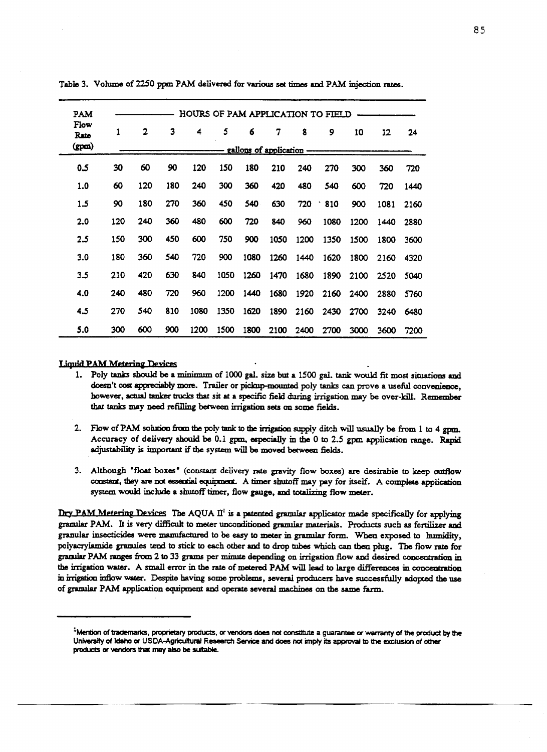| PAM                   |     |              |     | HOURS OF PAM APPLICATION TO FIELD |      |      |      |                                |      |      |      |      |
|-----------------------|-----|--------------|-----|-----------------------------------|------|------|------|--------------------------------|------|------|------|------|
| Flow<br>Rate<br>(gpm) | 1   | $\mathbf{2}$ | 3   | 4                                 | 5    | 6    | 7    | 8<br>gallons of application -- | 9    | 10   | 12   | 24   |
| 0.5                   | 30  | 60           | 90  | 120                               | 150  | 180  | 210  | 240                            | 270  | 300  | 360  | 720  |
| 1.0                   | 60  | 120          | 180 | 240                               | 300  | 360  | 420  | 480                            | 540  | 600  | 720  | 1440 |
| 1.5                   | 90  | 180          | 270 | 360                               | 450  | 540  | 630  | 720                            | 810  | 900  | 1081 | 2160 |
| 2.0                   | 120 | 240          | 360 | 480                               | 600  | 720  | 840  | 960                            | 1080 | 1200 | 1440 | 2880 |
| 2.5                   | 150 | 300          | 450 | 600                               | 750  | 900  | 1050 | 1200                           | 1350 | 1500 | 1800 | 3600 |
| 3.0                   | 180 | 360          | 540 | 720                               | 900  | 1080 | 1260 | 1440                           | 1620 | 1800 | 2160 | 4320 |
| 3.5                   | 210 | 420          | 630 | 840                               | 1050 | 1260 | 1470 | 1680                           | 1890 | 2100 | 2520 | 5040 |
| 4.0                   | 240 | 480          | 720 | 960                               | 1200 | 1440 | 1680 | 1920                           | 2160 | 2400 | 2880 | 5760 |
| 4.5                   | 270 | 540          | 810 | 1080                              | 1350 | 1620 | 1890 | 2160                           | 2430 | 2700 | 3240 | 6480 |
| 5.0                   | 300 | 600          | 900 | 1200                              | 1500 | 1800 | 2100 | 2400                           | 2700 | 3000 | 3600 | 7200 |

Table 3. Volume of 2250 ppm PAM delivered for various set times and PAM injection rates.

#### **Liquid PAM Metering Devices**

- 1. Poly tanks should be a minimum of 1000 gal. size but a 1500 gal. tank would fit most situations and doesn't cost appreciably more. Trailer or pickup-mounted poly tanks can prove a useful convenience, however, actual tanker trucks that sit at a specific field during irrigation may be over-kill. Remember that tanks may need refilling between irrigation sets on some fields.
- 2. Flow of PAM solution from the poly tank to the irrigation supply ditch will usually be from 1 to 4 gpm. Accuracy of delivery should be 0.1 gpm, especially in the 0 to 2.5 gpm application range. Rapid adjustability is important *if the system* will be moved between fields.
- 3. Although 'float boxes' (constant delivery rate gravity flow boxes) are desirable to keep outflow constant, they are not essential equipment. A timer shutoff may pay for itself. A complete application system would include a shutoff timer, flow gauge, and totalizing flow meter.

Dry PAM Metering Devices The AQUA  $II<sup>1</sup>$  is a patented granular applicator made specifically for applying granular PAM. It is very difficult to meter unconditioned granular materials. Products such as fertilizer and granular insecticides were manufactured to be easy to meter in granular form. When exposed to humidity, polyacrylamide granules tend to **stick to** each other and to drop tubes which can then plug. The flow rate for granular PAM ranges from 2 to 33 grams per minute depending on irrigation flow and desired concentration in the irrigation water. A small error in the rate of metered PAM will lead to large differences in concentration in irrigation inflow water. Despite having some problems, several producers have successfully adopted the use of granular PAM application equipment and operate several machines on the same farm.

<sup>1</sup>Mention of trademarks, proprietary products, or vendors does not constitute a guarantee or warranty of the product **by the** University of Idaho or USDA-Agricultural Research Service and does not imply its approval to the exclusion of other products or vendors that may also be suitable.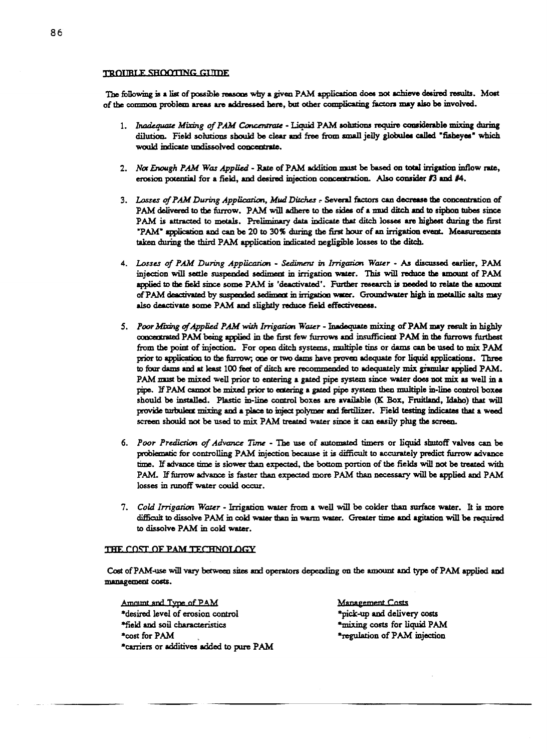#### TROUBLE SHOOTING GUIDE

The following is a list of possible reasons why a given PAM application does not achieve desired results. Most of the common problem areas are addressed here, but other complicating factors may also be involved.

- *1. Inadequate Miring of PAM Concentrate* Liquid PAM solutions require considerable mixing during dilution. Field solutions should be clear and free from small jelly globules called 'fisheyes' which would indicate undissolved concentrate.
- *2. Not Enough PAM Was Applied* Rate of PAM addition mist be based on total irrigation inflow rate, erosion potential for a field, and desired injection concentration. Also consider #3 and #4.
- *3. Losses of PAM During Application, Mud Ditches ,:-* Several factors can decrease the concentration of PAM delivered to the furrow. PAM will adhere to the sides of a mud ditch and to siphon tubes since PAM is attracted to metals. Preliminary data indicate that ditch losses are highest during the first 'PAW application and can be 20 to 30% during the first hour of an irrigation event. Measurements taken during the third PAM application indicated negligible losses to the ditch.
- *4. Losses of PAM During Application Sedimet y in Irrigation Water As* discussed earlier, PAM injection will settle suspended sediment in irrigation water. This will reduce the amount of PAM applied to the field since some PAM is 'deactivated'. Further research is needed to relate the amount of PAM deactivated by suspended sediment in irrigation water. Groundwater high in metallic salts may also deactivate some PAM and slightly reduce field effectiveness.
- *5. Poor Miring ofApplied PAM with Irrigation Water* Inadequate mixing of PAM may result in highly conceetrated PAM being applied in the first few furrows and insufficient PAM **in** the furrows furthest from the point of injection. For open ditch systems, multiple tins or dams can be used to mix PAM prior to application to the furrow; one or two dams have proven adequate for liquid applications. Three to four dams and at least 100 feet of ditch are recommended to adequately mix granular applied PAM. PAM *must* be mixed well prior to entering a gated pipe system since water does not mix as well in a pipe. If PAM cannot be mixed prior to entering a gated pipe system then multiple in-line control boxes should be installed. Plastic in-line control boxes are available (K Box, Fruitland, Idaho) that will provide turbulent mixing and a place to inject polymer and fertilizer. Field testing indicates that a weed screen should not be used to mix PAM treated water since it can easily plug the screen.
- *6. Poor Prediction of Advance Tune The* **use** of automated timers or liquid shutoff valves can be problematic for controlling PAM injection because it is difficult to accurately predict furrow advance time. *If* advance time is slower than expected, the bottom portion of the fields *will* not be treated with PAM. If furrow advance is faster than expected more PAM than necessary will be applied and PAM losses in runoff water could occur.
- 7. *Cold Irrigation Water* Irrigation water from a well will be colder than surface water. It is more difficult to dissolve PAM in cold water than in warm water. Greater time and agitation will be required to dissolve PAM in cold water.

#### THE COST OF PAM TECHNOLOGY

Cost of PAM-use will vary between sites and operators depending on the amount and type of PAM applied and management costs.

Amount and Type of PAM \*desired level of erosion control \*field and soil characteristics \*cost for PAM \*carriers or additives added to pure PAM Management Costs \*pick-up and delivery costs \*mixing costs for liquid PAM \*regulation of PAM injection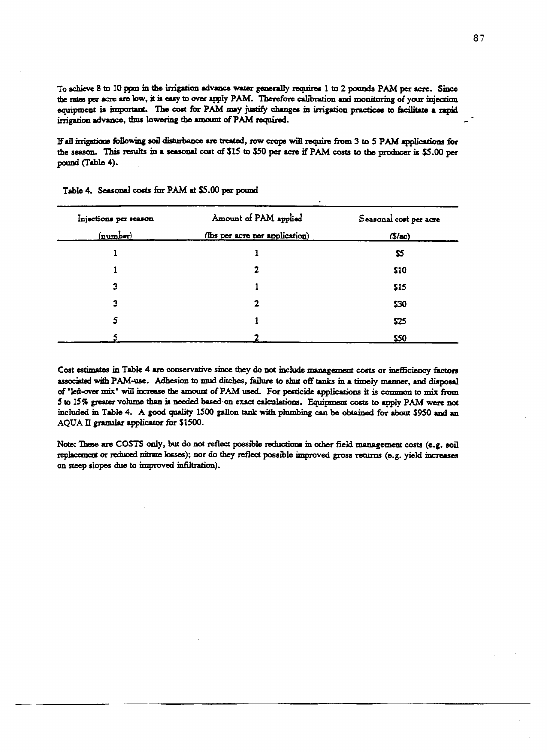To achieve 8 to 10 pprn in the irrigation advance water generally requires 1 to 2 pounds PAM per acre. Since the rates per acre are low, it is easy to over apply PAM. Therefore calibration and monitoring of your injection equipment is important. The cost for PAM may justify changes in irrigation practices to facilitate a rapid irrigation advance, thus lowering the amount of PAM required.

If all irrigations following soli disturbance are treated, row crops will require from 3 to 5 PAM applications for the season. This results in a seasonal cost of \$15 to \$50 per acre if PAM costs to the producer is \$5.00 per pound (Table 4).

| Injections per season | Amount of PAM applied          | Seasonal cost per acre |
|-----------------------|--------------------------------|------------------------|
| $(\texttt{number})$   | (lbs per acre per application) | $(S/\text{ac})$        |
|                       |                                | \$5                    |
|                       | 2                              | \$10                   |
| 3                     |                                | \$15                   |
| 3                     | 2                              | \$30                   |
| 5                     |                                | \$25                   |
| 5                     |                                | \$50                   |

Table 4. Seasonal costs for PAM at \$5.00 per pound

Cost estimates in Table 4 **are** conservative since they do not include management costs or inefficiency factors associated with PAM-use. Adhesion to mud ditches, failure to shut off tanks in a timely manner, and disposal of "left-over mix" will increase the amount of PAM used. For pesticide applications it is common to mix from 5 to 15% greater volume than is needed based on exact calculations. Equipment costs to apply PAM were not included in Table 4. A good quality 1500 gallon tank with plumbing can be obtained for about \$950 and an AQUA II granular applicator for \$1500.

Note: These are COSTS only, but do not reflect possible reductions in other field management costs (e.g. soil replacement or reduced nitrate losses); nor do they reflect possible improved gross returns (e.g. yield increases on steep slopes due to improved infiltration).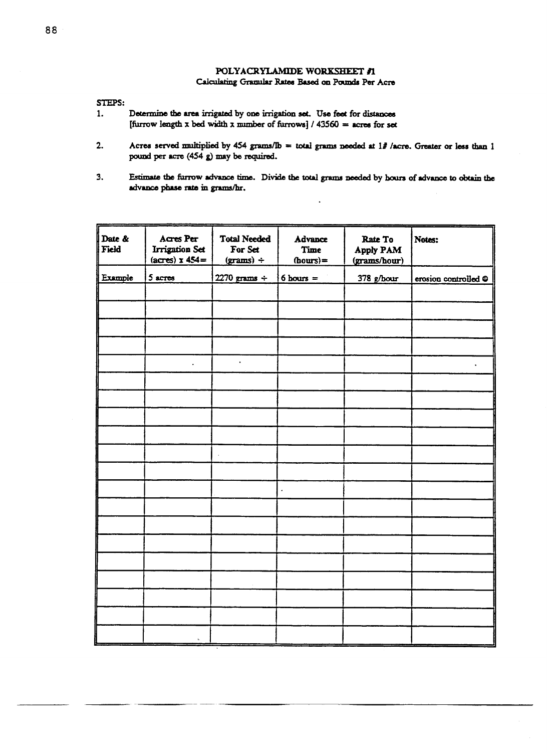# POLYACRYLAMIDE WORKSHEET #1

## Calculating Granular Rates Based on Pounds Per Acre

STEPS:

- 1. Determine the area irrigated by one irrigation set. Use feet for distances [furrow length x bed width x number of furrows]  $/$  43560 = acres for set
- 2. Acres served multiplied by 454 grams/Ib = total grams needed at  $1\frac{1}{2}$  /acre. Greater or less than 1 pound per acre (454 g) may be required.
- 3. Estimate the furrow advance time. Divide the total grams needed by hours of advance to obtain the advance phase rate in grams/hr.

| Date &<br>Field | Acres Per<br>Irrigation Set<br>$(acres)$ x $454 =$ | <b>Total Needed</b><br>For Set<br>$(grams) \div$ | <b>Advance</b><br><b>Time</b><br>$(hours) =$ | Rate To<br>Apply PAM<br>(grams/hour) | Notes:               |
|-----------------|----------------------------------------------------|--------------------------------------------------|----------------------------------------------|--------------------------------------|----------------------|
| Example         | 5 acres                                            | $2270$ grams ÷                                   | $6$ hours =                                  | 378 g/hour                           | erosion controlled @ |
|                 |                                                    |                                                  |                                              |                                      |                      |
|                 |                                                    |                                                  |                                              |                                      |                      |
|                 |                                                    |                                                  |                                              |                                      |                      |
|                 |                                                    |                                                  |                                              |                                      |                      |
|                 | $\cdot$                                            | $\Box$                                           |                                              |                                      |                      |
|                 |                                                    |                                                  |                                              |                                      |                      |
|                 |                                                    |                                                  |                                              |                                      |                      |
|                 |                                                    |                                                  |                                              |                                      |                      |
|                 |                                                    |                                                  |                                              |                                      |                      |
|                 |                                                    |                                                  |                                              |                                      |                      |
|                 |                                                    |                                                  |                                              |                                      |                      |
|                 |                                                    |                                                  | $\bullet$                                    |                                      |                      |
|                 |                                                    |                                                  |                                              |                                      |                      |
|                 |                                                    |                                                  |                                              |                                      |                      |
|                 |                                                    |                                                  |                                              |                                      |                      |
|                 |                                                    |                                                  |                                              |                                      |                      |
|                 |                                                    |                                                  |                                              |                                      |                      |
|                 |                                                    |                                                  |                                              |                                      |                      |
|                 |                                                    |                                                  |                                              |                                      |                      |
|                 | t.                                                 |                                                  |                                              |                                      |                      |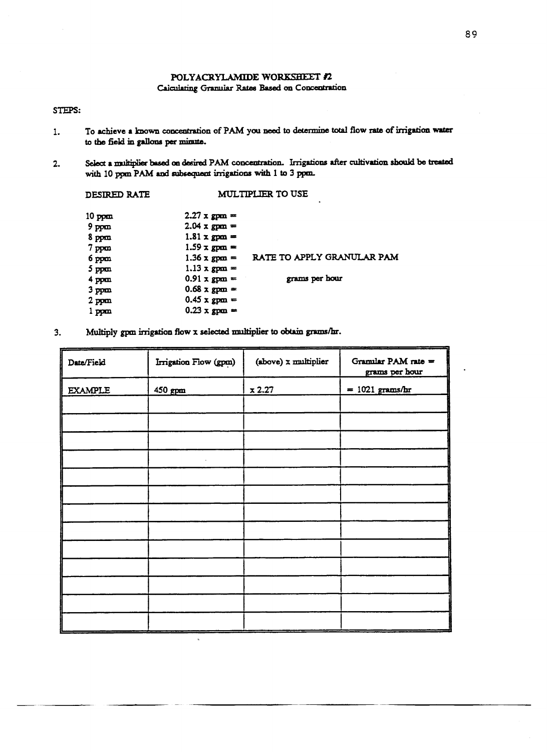# **POLYACRYLAMIDE WORKSHEET** /2

# Calculating Granular Rates Based on Concentration

# STEPS:

- 1. To achieve a known concentration of PAM **you** need to determine total flow rate of irrigation water to the field in gallons per minute.
- 2. Select a multiplier based on desired PAM concentration. Irrigations after cultivation should be treated with 10 ppm PAM and subsequent irrigations with 1 to 3 ppm.

| DESIRED RATE     | <b>MULTIPLIER TO USE</b> |                            |  |  |  |
|------------------|--------------------------|----------------------------|--|--|--|
| $10$ ppm         | $2.27 \times$ gpm =      |                            |  |  |  |
| $9$ ppm          | $2.04 \times gpm =$      |                            |  |  |  |
| 8 ppm            | $1.81 \times$ gpm =      |                            |  |  |  |
| $7$ ppm          | $1.59 \times$ gpm =      |                            |  |  |  |
| 6 ppm            | $1.36 \times$ gpm =      | RATE TO APPLY GRANULAR PAM |  |  |  |
| $5$ ppm          | $1.13 \times gpm =$      |                            |  |  |  |
| $4$ ppm          | $0.91 \times gpm =$      | grams per hour             |  |  |  |
| 3 <sub>ppm</sub> | $0.68 \times gpm =$      |                            |  |  |  |
| $2$ ppm          | $0.45 \times gpm =$      |                            |  |  |  |
| 1 ppm            | $0.23 \times$ gpm =      |                            |  |  |  |
|                  |                          |                            |  |  |  |

3. Multiply gpm irrigation flow x selected multiplier to obtain grams/hr.

 $\bar{\nu}$ 

| Date/Field     | Irrigation Flow (gpm) | (above) x multiplier | Gramilar PAM rate =<br>grams per hour |
|----------------|-----------------------|----------------------|---------------------------------------|
| <b>EXAMPLE</b> | 450 gpm               | x 2.27               | $= 1021$ grams/hr                     |
|                |                       |                      |                                       |
|                |                       |                      |                                       |
|                |                       |                      |                                       |
|                |                       |                      |                                       |
|                |                       |                      |                                       |
|                |                       |                      |                                       |
|                |                       |                      |                                       |
|                |                       |                      |                                       |
|                |                       |                      |                                       |
|                |                       |                      |                                       |
|                |                       |                      |                                       |
|                |                       |                      |                                       |
|                |                       |                      |                                       |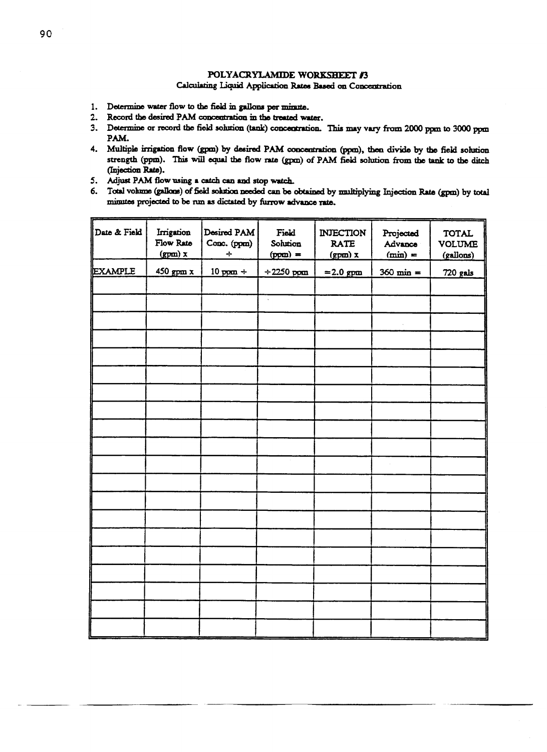# POLYACRYLAMIDE WORKSHEET #3

# Calculating Liquid Application Rates Based **on Concentration**

- 1. Determine water flow to the field in gallons per minute.
- 2. Record the desired PAM concentration in the treated water.
- 3. Determine or record the field solution (tank) concentration. This may vary from 2000 ppm to 3000 ppm PAM.
- 4. Multiple irrigation flow (gpm) by desired PAM concentration (ppm), then divide by the field solution strength (ppm). This will equal the flow rate (gpm) of PAM field solution from the tank to the ditch (Injection Rate).
- 5. Adjust PAM flow using a catch can and stop watch.
- 6. Total volume (gallons) of field solution needed can be obtained by multiplying Injection Rate (gpm) by total minutes projected to be run as dictated by furrow advance rate.

| Date & Field | Irrigation<br>Flow Rate<br>$(gpm)$ x | Desired PAM<br>Conc. (ppm)<br>$\div$ | Field<br>Solution<br>$(ppm) =$ | <b>INJECTION</b><br><b>RATE</b><br>$(gpm)$ x | Projected<br>Advance<br>$(min) =$ | <b>TOTAL</b><br><b>VOLUME</b><br>(gallons) |
|--------------|--------------------------------------|--------------------------------------|--------------------------------|----------------------------------------------|-----------------------------------|--------------------------------------------|
| EXAMPLE      | $450$ gpm $x$                        | $10$ ppm $\div$                      | $\div 2250$ ppm                | $= 2.0$ gpm                                  | $360 \text{ min} =$               | <b>720 gals</b>                            |
|              |                                      |                                      |                                |                                              |                                   |                                            |
|              |                                      |                                      | $\ddot{\phantom{a}}$           |                                              |                                   |                                            |
|              |                                      |                                      |                                |                                              |                                   |                                            |
|              |                                      |                                      |                                |                                              |                                   |                                            |
|              |                                      |                                      |                                |                                              |                                   |                                            |
|              |                                      |                                      |                                |                                              |                                   |                                            |
|              |                                      |                                      |                                |                                              |                                   |                                            |
|              |                                      |                                      |                                |                                              |                                   |                                            |
|              |                                      |                                      |                                |                                              |                                   |                                            |
|              |                                      |                                      |                                |                                              |                                   |                                            |
|              |                                      |                                      |                                |                                              |                                   |                                            |
|              |                                      |                                      |                                |                                              |                                   |                                            |
|              |                                      |                                      |                                |                                              |                                   |                                            |
|              |                                      |                                      |                                |                                              |                                   |                                            |
|              |                                      |                                      |                                |                                              |                                   |                                            |
|              |                                      |                                      |                                |                                              |                                   |                                            |
|              |                                      |                                      |                                |                                              |                                   |                                            |
|              |                                      |                                      |                                |                                              |                                   |                                            |
|              |                                      |                                      |                                |                                              |                                   |                                            |
|              |                                      |                                      |                                |                                              |                                   |                                            |
|              |                                      |                                      |                                |                                              |                                   |                                            |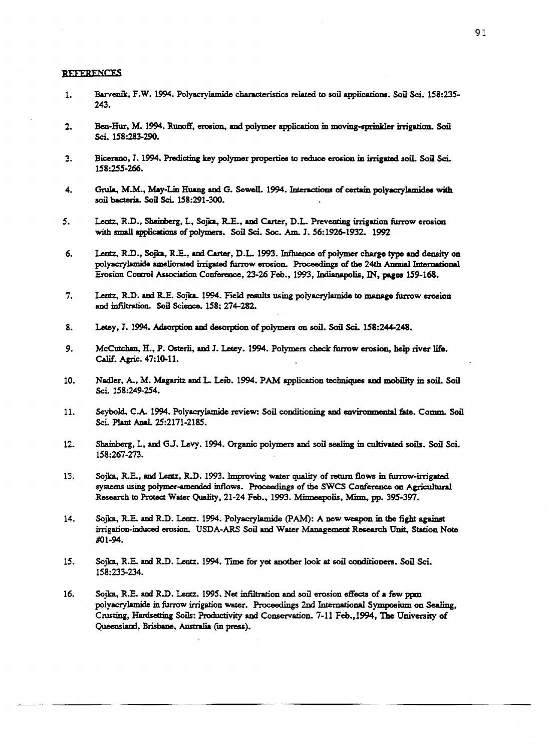#### **REFERENCES**

- 1. Barvenik, F.W. 1994. Polyacrylamide characteristics related to soil applications. Soil Sci. 158:235-243.
- 2. Ben-Hur, M. 1994. Runoff, erosion, and polymer application in moving-sprinkler irrigation. *Soil* Sci. 158:283-290.
- 3. Bicerano, J. 1994. Predicting key polymer properties to reduce erosion in irrigated soil. *Soil* Sci. 158:255-266.
- 4. Grula, M.M., May-Lin Huang and G. Sewell. 1994. Interactions of certain polyacrylamidea with soil bacteria. Soil Sci. 158:291-300.
- 5. Lentz, R.D., Shainberg, L., Sojka, R.E., and Carter, D.L. Preventing irrigation furrow erosion with small applications of polymers. Soil Sci. Soc. Am. J. 56:1926-1932. 1992
- 6. Lentz, R.D., Sojka, R.E., and Carter, D.L. 1993. Influence of polymer charge type **and** density on polyacrylamide ameliorated irrigated furrow erosion. Proceedings of the 24th Annual International Erosion Control Association Conference, 23-26 Feb., 1993, Indianapolis, IN, pages 159-168.
- 7. Lentz, R.D. and R.E. Spike. 1994. Field results using polyacrylamide to manage furrow erosion and infiltration. Soil Science. 158: 274-282.
- 8. Letey, J. 1994. Adsorption and desorption of polymers on soil. Soil Sci. 158:244-248.
- 9. McCutchan, H., P. Osterii, and J. Letey. 1994. Polymers check furrow erosion, help river life. Calif. Agric. 47:10-11.
- 10. Nadler, A., M. Magaritz and L. Leib. 1994. PAM application techniques and mobility in soil. Soil Sci. 158:249-254.
- 11. Seybold, C.A. 1994. Polyacrylamide review: Soil conditioning and environmental fate. Comm. Soil Sci. Plant Anal. 25:2171-2185.
- 12. Shainberg, L, and GJ. Levy. 1994. Organic polymers and soil sealing in cultivated soils. Soil Sci. 158:267-273.
- 13. Sojka, R.E., and Lentz, R.D. 1993. Improving water quality of return flows in furrow-irrigated systems using polymer-amended inflows. Proceedings of the SWCS Conference on Agricultural Research to Protect Water Quality, 21-24 Feb., 1993. Minneapolis, Minn, pp. 395-397.
- 14. Sojka, R.E. and R.D. Lentz. 1994. Polyacrylamide (PAM): A new weapon in the fight against irrigation-induced erosion. USDA-ARS Soil and Water Management Research Unit, Station Note #01-94.
- 15. Sojka, R.E. and R.D. Lentz. 1994. Time for yet another look at soil conditioners. Soil Sci. 158:233-234.
- 16. Sojka, R.E. and R.D. Lentz. 1995. Net infiltration and soil erosion effects of a few ppm polyacrylamide in furrow irrigation water. Proceedings 2nd International Symposium on Sealing, Crusting, Hardsetting Soils: Productivity and Conservation.. 7-11 Feb.,1994, The University of Queensland, Brisbane, Australia (m press).